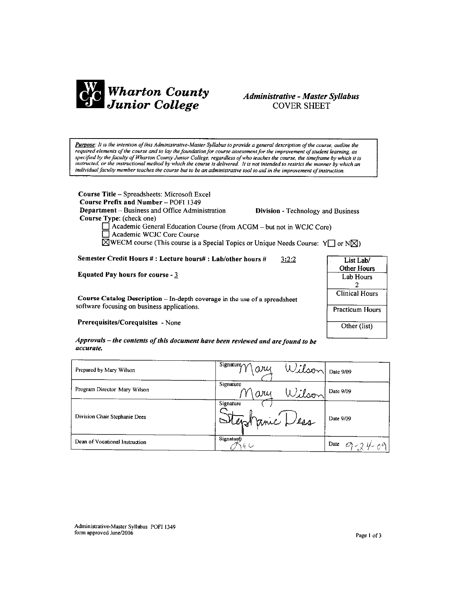

## **Administrative - Master Syllabus COVER SHEET**

Purpose: It is the intention of this Administrative-Master Syllabus to provide a general description of the course, outline the required elements of the course and to lay the foundation for course assessment for the improvement of student learning, as specified by the faculty of Wharton County Junior College, regardless of who teaches the course, the timeframe by which it is instructed, or the instructional method by which the course is delivered. It is not intended to restrict the manner by which an individual faculty member teaches the course but to be an administrative tool to aid in the improvement of instruction.

Course Title - Spreadsheets: Microsoft Excel Course Prefix and Number - POFI 1349 Department - Business and Office Administration Course Type: (check one) □ Academic General Education Course (from ACGM – but not in WCJC Core) Academic WCJC Core Course

Division - Technology and Business

List Lab/ Other Hours

Lab Hours  $\overline{2}$ **Clinical Hours** 

Practicum Hours

Other (list)

 $\boxtimes$ WECM course (This course is a Special Topics or Unique Needs Course: Y or N $\boxtimes$ )

Semester Credit Hours #: Lecture hours#: Lab/other hours #  $3:2:2$ 

Equated Pay hours for course - 3

Course Catalog Description - In-depth coverage in the use of a spreadsheet software focusing on business applications.

Prerequisites/Corequisites - None

Approvals - the contents of this document have been reviewed and are found to be accurate.

| Prepared by Mary Wilson        | $^+$ Signature $\mathcal{W}$ ary<br>Wilson Date 9/09 |                |
|--------------------------------|------------------------------------------------------|----------------|
| Program Director Mary Wilson   | Signature<br>Wilson<br>ary                           | Date 9/09      |
| Division Chair Stephanie Dees  | Signature<br>Eteroranic Les                          | Date 9/09      |
| Dean of Vocational Instruction | Signature<br>ばし                                      | Date $9-24-69$ |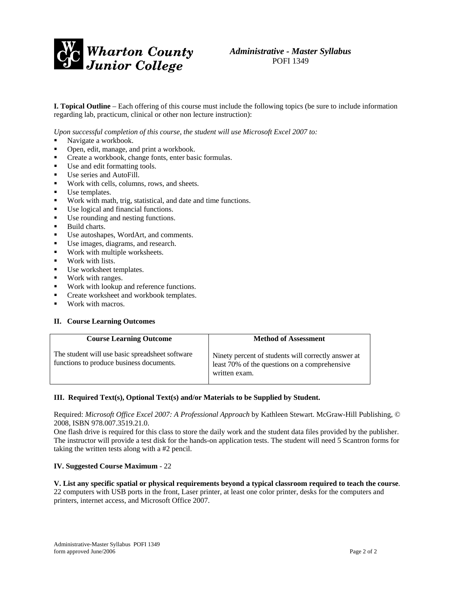

# *Administrative - Master Syllabus*  POFI 1349

**I. Topical Outline** – Each offering of this course must include the following topics (be sure to include information regarding lab, practicum, clinical or other non lecture instruction):

*Upon successful completion of this course, the student will use Microsoft Excel 2007 to:* 

- Navigate a workbook.
- Open, edit, manage, and print a workbook.
- **•** Create a workbook, change fonts, enter basic formulas.
- Use and edit formatting tools.
- Use series and AutoFill.
- Work with cells, columns, rows, and sheets.
- Use templates.
- Work with math, trig, statistical, and date and time functions.
- Use logical and financial functions.
- Use rounding and nesting functions.
- Build charts.
- Use autoshapes, WordArt, and comments.
- Use images, diagrams, and research.
- Work with multiple worksheets.
- **Work with lists.**
- Use worksheet templates.
- Work with ranges.
- Work with lookup and reference functions.
- **•** Create worksheet and workbook templates.
- **Work with macros.**

#### **II. Course Learning Outcomes**

| <b>Course Learning Outcome</b>                                                              | <b>Method of Assessment</b>                                                                                           |
|---------------------------------------------------------------------------------------------|-----------------------------------------------------------------------------------------------------------------------|
| The student will use basic spreadsheet software<br>functions to produce business documents. | Ninety percent of students will correctly answer at<br>least 70% of the questions on a comprehensive<br>written exam. |

### **III. Required Text(s), Optional Text(s) and/or Materials to be Supplied by Student.**

Required: *Microsoft Office Excel 2007: A Professional Approach* by Kathleen Stewart. McGraw-Hill Publishing, © 2008, ISBN 978.007.3519.21.0.

One flash drive is required for this class to store the daily work and the student data files provided by the publisher. The instructor will provide a test disk for the hands-on application tests. The student will need 5 Scantron forms for taking the written tests along with a #2 pencil.

### **IV. Suggested Course Maximum** - 22

**V. List any specific spatial or physical requirements beyond a typical classroom required to teach the course**. 22 computers with USB ports in the front, Laser printer, at least one color printer, desks for the computers and printers, internet access, and Microsoft Office 2007.